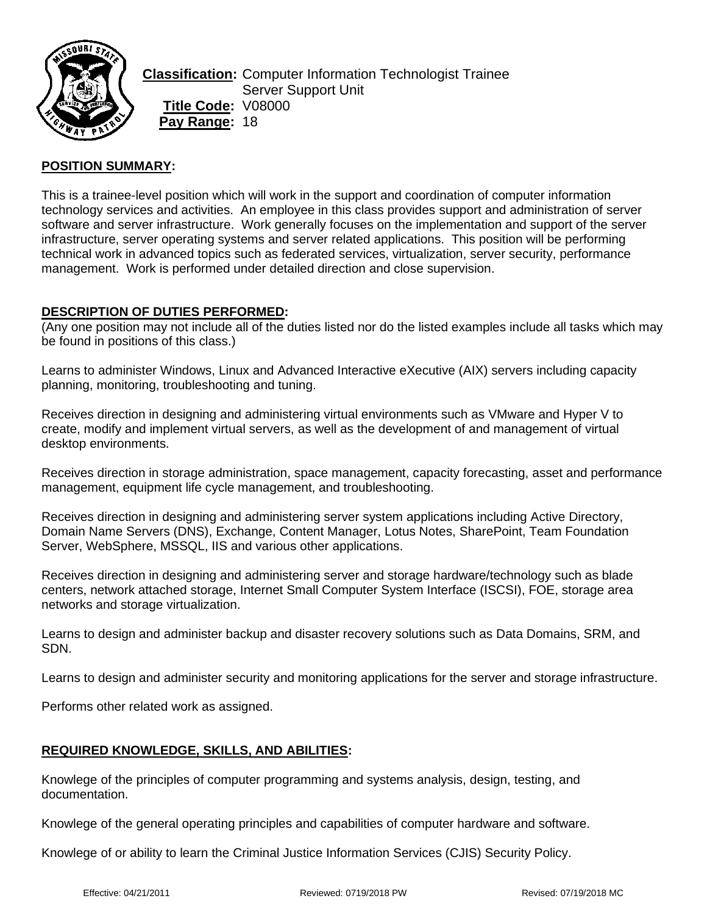

**Classification:** Computer Information Technologist Trainee Server Support Unit **Title Code:** V08000 **Pay Range:** 18

## **POSITION SUMMARY:**

This is a trainee-level position which will work in the support and coordination of computer information technology services and activities. An employee in this class provides support and administration of server software and server infrastructure. Work generally focuses on the implementation and support of the server infrastructure, server operating systems and server related applications. This position will be performing technical work in advanced topics such as federated services, virtualization, server security, performance management. Work is performed under detailed direction and close supervision.

### **DESCRIPTION OF DUTIES PERFORMED:**

(Any one position may not include all of the duties listed nor do the listed examples include all tasks which may be found in positions of this class.)

Learns to administer Windows, Linux and Advanced Interactive eXecutive (AIX) servers including capacity planning, monitoring, troubleshooting and tuning.

Receives direction in designing and administering virtual environments such as VMware and Hyper V to create, modify and implement virtual servers, as well as the development of and management of virtual desktop environments.

Receives direction in storage administration, space management, capacity forecasting, asset and performance management, equipment life cycle management, and troubleshooting.

Receives direction in designing and administering server system applications including Active Directory, Domain Name Servers (DNS), Exchange, Content Manager, Lotus Notes, SharePoint, Team Foundation Server, WebSphere, MSSQL, IIS and various other applications.

Receives direction in designing and administering server and storage hardware/technology such as blade centers, network attached storage, Internet Small Computer System Interface (ISCSI), FOE, storage area networks and storage virtualization.

Learns to design and administer backup and disaster recovery solutions such as Data Domains, SRM, and SDN.

Learns to design and administer security and monitoring applications for the server and storage infrastructure.

Performs other related work as assigned.

## **REQUIRED KNOWLEDGE, SKILLS, AND ABILITIES:**

Knowlege of the principles of computer programming and systems analysis, design, testing, and documentation.

Knowlege of the general operating principles and capabilities of computer hardware and software.

Knowlege of or ability to learn the Criminal Justice Information Services (CJIS) Security Policy.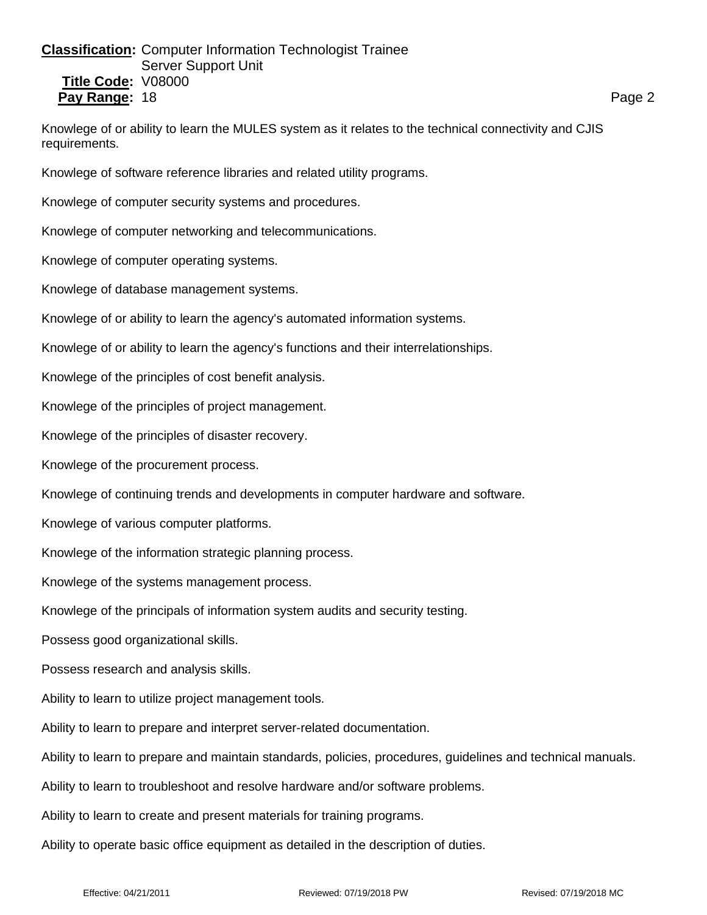## **Classification:** Computer Information Technologist Trainee Server Support Unit **Title Code:** V08000 **Pay Range:** 18 **Page 2 Page 2 Page 2 Page 2 Page 2 Page 2 Page 2 Page 2**

Knowlege of or ability to learn the MULES system as it relates to the technical connectivity and CJIS requirements.

Knowlege of software reference libraries and related utility programs.

Knowlege of computer security systems and procedures.

Knowlege of computer networking and telecommunications.

Knowlege of computer operating systems.

Knowlege of database management systems.

Knowlege of or ability to learn the agency's automated information systems.

Knowlege of or ability to learn the agency's functions and their interrelationships.

Knowlege of the principles of cost benefit analysis.

Knowlege of the principles of project management.

Knowlege of the principles of disaster recovery.

Knowlege of the procurement process.

Knowlege of continuing trends and developments in computer hardware and software.

Knowlege of various computer platforms.

Knowlege of the information strategic planning process.

Knowlege of the systems management process.

Knowlege of the principals of information system audits and security testing.

Possess good organizational skills.

Possess research and analysis skills.

Ability to learn to utilize project management tools.

Ability to learn to prepare and interpret server-related documentation.

Ability to learn to prepare and maintain standards, policies, procedures, guidelines and technical manuals.

Ability to learn to troubleshoot and resolve hardware and/or software problems.

Ability to learn to create and present materials for training programs.

Ability to operate basic office equipment as detailed in the description of duties.